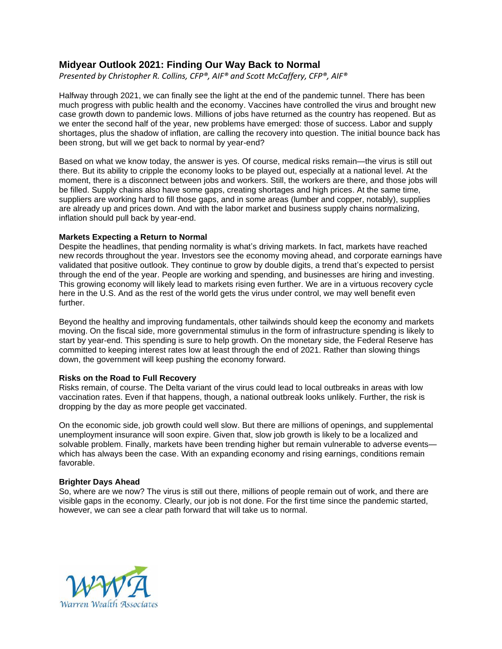## **Midyear Outlook 2021: Finding Our Way Back to Normal**

*Presented by Christopher R. Collins, CFP®, AIF® and Scott McCaffery, CFP®, AIF®*

Halfway through 2021, we can finally see the light at the end of the pandemic tunnel. There has been much progress with public health and the economy. Vaccines have controlled the virus and brought new case growth down to pandemic lows. Millions of jobs have returned as the country has reopened. But as we enter the second half of the year, new problems have emerged: those of success. Labor and supply shortages, plus the shadow of inflation, are calling the recovery into question. The initial bounce back has been strong, but will we get back to normal by year-end?

Based on what we know today, the answer is yes. Of course, medical risks remain—the virus is still out there. But its ability to cripple the economy looks to be played out, especially at a national level. At the moment, there is a disconnect between jobs and workers. Still, the workers are there, and those jobs will be filled. Supply chains also have some gaps, creating shortages and high prices. At the same time, suppliers are working hard to fill those gaps, and in some areas (lumber and copper, notably), supplies are already up and prices down. And with the labor market and business supply chains normalizing, inflation should pull back by year-end.

## **Markets Expecting a Return to Normal**

Despite the headlines, that pending normality is what's driving markets. In fact, markets have reached new records throughout the year. Investors see the economy moving ahead, and corporate earnings have validated that positive outlook. They continue to grow by double digits, a trend that's expected to persist through the end of the year. People are working and spending, and businesses are hiring and investing. This growing economy will likely lead to markets rising even further. We are in a virtuous recovery cycle here in the U.S. And as the rest of the world gets the virus under control, we may well benefit even further.

Beyond the healthy and improving fundamentals, other tailwinds should keep the economy and markets moving. On the fiscal side, more governmental stimulus in the form of infrastructure spending is likely to start by year-end. This spending is sure to help growth. On the monetary side, the Federal Reserve has committed to keeping interest rates low at least through the end of 2021. Rather than slowing things down, the government will keep pushing the economy forward.

## **Risks on the Road to Full Recovery**

Risks remain, of course. The Delta variant of the virus could lead to local outbreaks in areas with low vaccination rates. Even if that happens, though, a national outbreak looks unlikely. Further, the risk is dropping by the day as more people get vaccinated.

On the economic side, job growth could well slow. But there are millions of openings, and supplemental unemployment insurance will soon expire. Given that, slow job growth is likely to be a localized and solvable problem. Finally, markets have been trending higher but remain vulnerable to adverse eventswhich has always been the case. With an expanding economy and rising earnings, conditions remain favorable.

## **Brighter Days Ahead**

So, where are we now? The virus is still out there, millions of people remain out of work, and there are visible gaps in the economy. Clearly, our job is not done. For the first time since the pandemic started, however, we can see a clear path forward that will take us to normal.